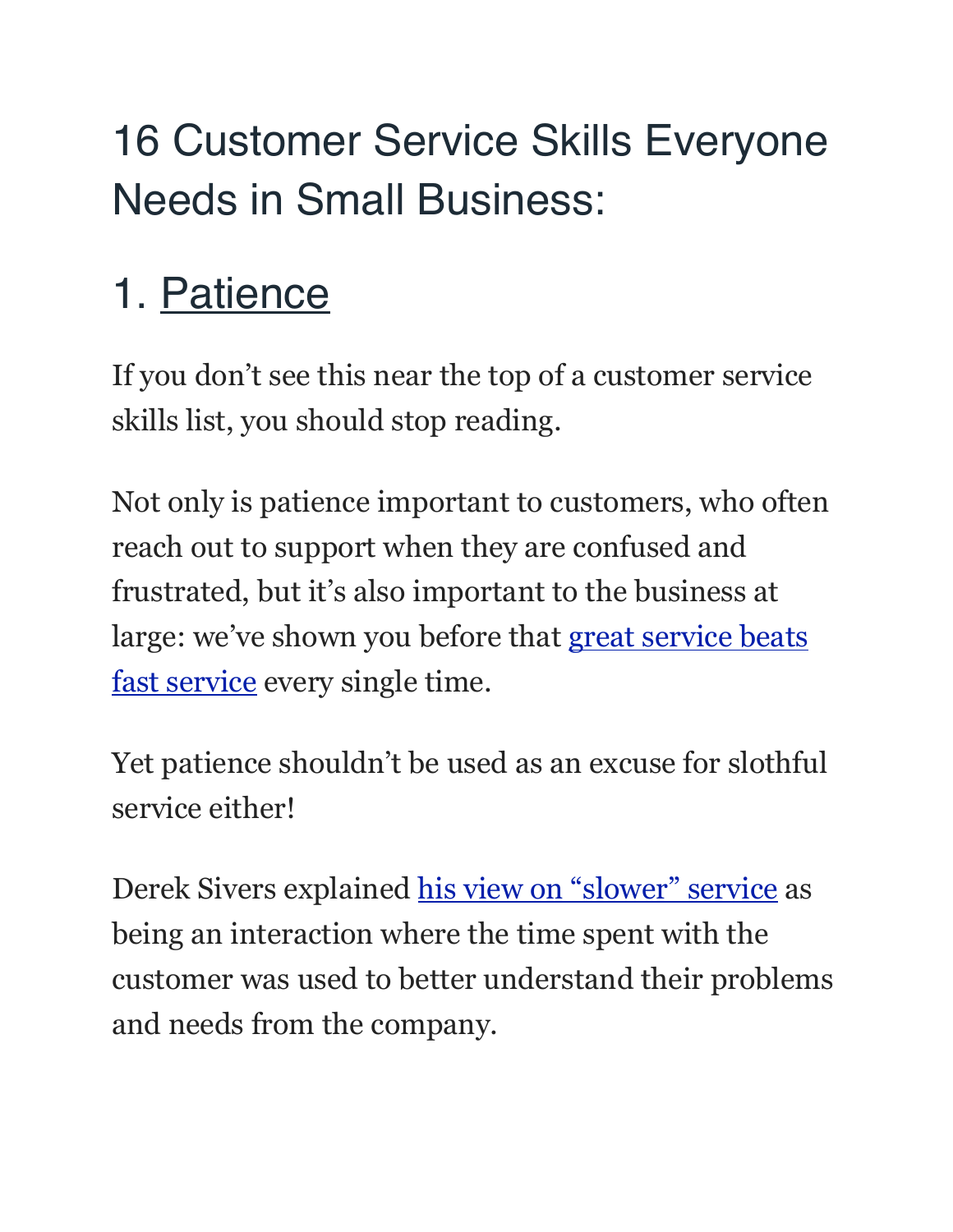## 16 Customer Service Skills Everyone Needs in Small Business:

## 1. Patience

If you don't see this near the top of a customer service skills list, you should stop reading.

Not only is patience important to customers, who often reach out to support when they are confused and frustrated, but it's also important to the business at large: we've shown you before that great service beats [fast service](https://www.helpscout.net/blog/speed-kills/) every single time.

Yet patience shouldn't be used as an excuse for slothful service either!

Derek Sivers explained [his view on "slower" service](https://www.helpscout.net/helpu/5-warning-signs-that-your-customer-service-sucks/) as being an interaction where the time spent with the customer was used to better understand their problems and needs from the company.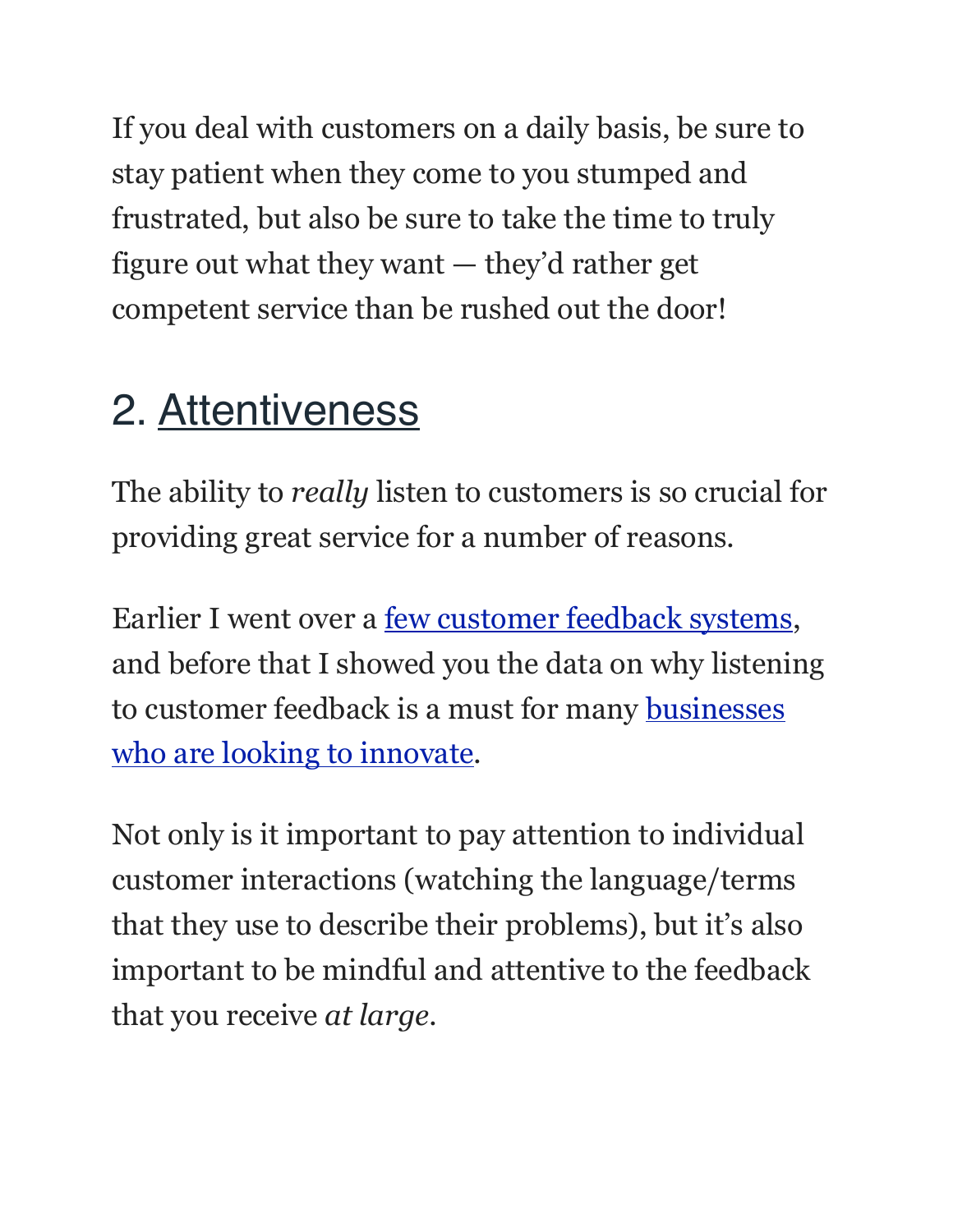If you deal with customers on a daily basis, be sure to stay patient when they come to you stumped and frustrated, but also be sure to take the time to truly figure out what they want — they'd rather get competent service than be rushed out the door!

#### 2. Attentiveness

The ability to *really* listen to customers is so crucial for providing great service for a number of reasons.

Earlier I went over a [few customer feedback systems,](https://www.helpscout.net/blog/customer-feedback-systems/) and before that I showed you the data on why listening to customer feedback is a must for many [businesses](https://www.helpscout.net/blog/fixing-the-broken/)  [who are looking to innovate.](https://www.helpscout.net/blog/fixing-the-broken/)

Not only is it important to pay attention to individual customer interactions (watching the language/terms that they use to describe their problems), but it's also important to be mindful and attentive to the feedback that you receive *at large*.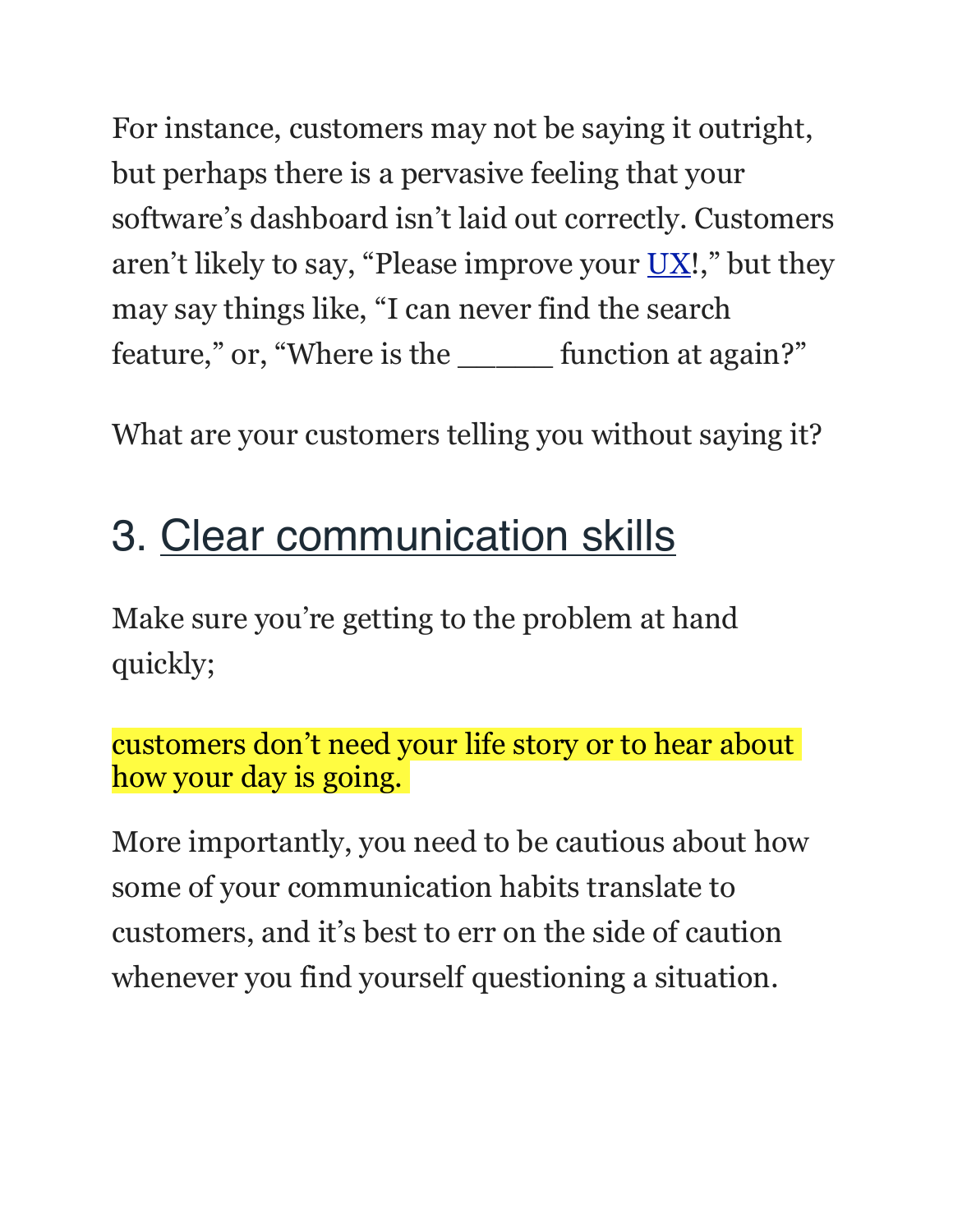For instance, customers may not be saying it outright, but perhaps there is a pervasive feeling that your software's dashboard isn't laid out correctly. Customers aren't likely to say, "Please improve your  $UX!$ ," but they may say things like, "I can never find the search feature," or, "Where is the \_\_\_\_\_ function at again?"

What are your customers telling you without saying it?

#### 3. Clear communication skills

Make sure you're getting to the problem at hand quickly;

customers don't need your life story or to hear about how your day is going.

More importantly, you need to be cautious about how some of your communication habits translate to customers, and it's best to err on the side of caution whenever you find yourself questioning a situation.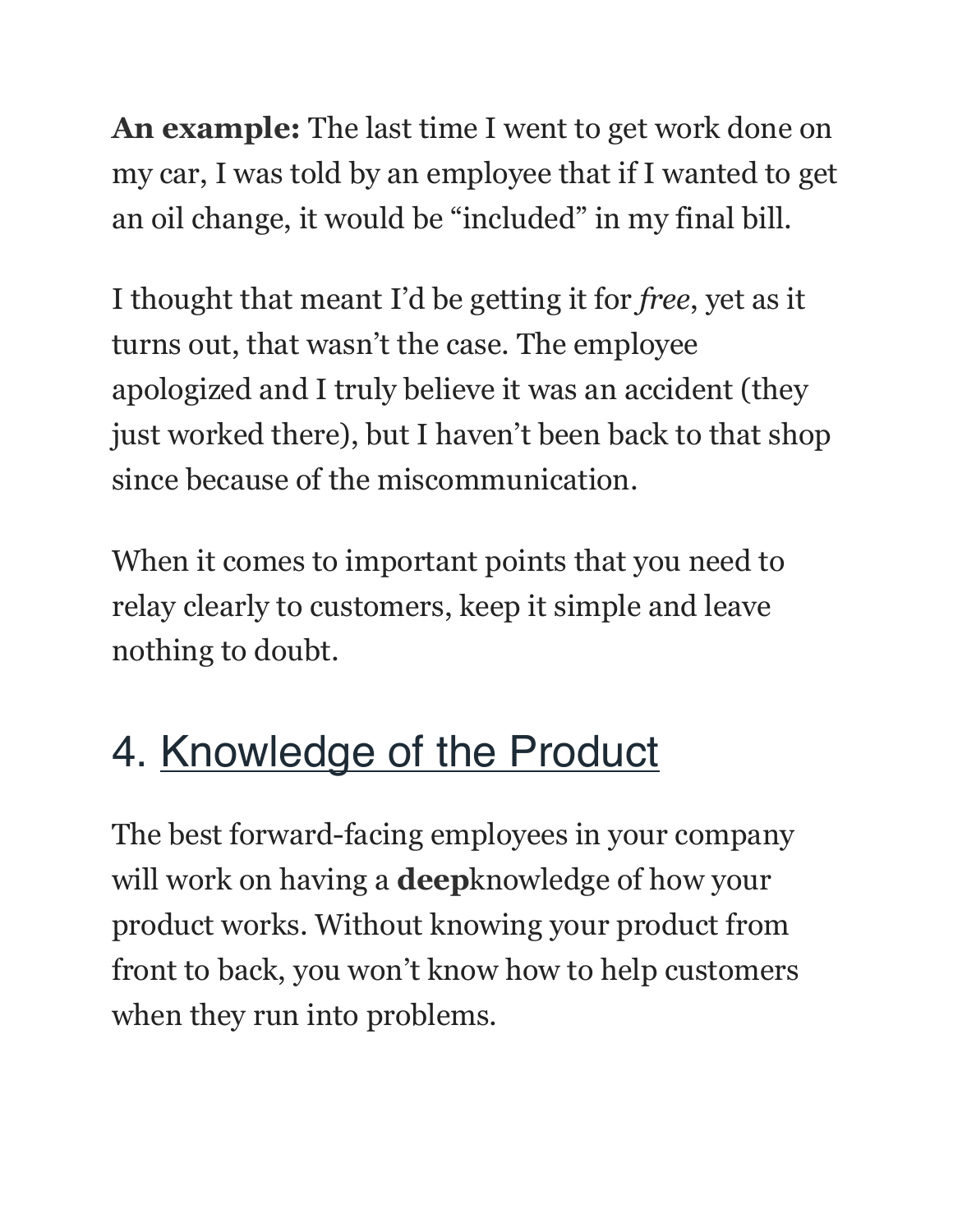**An example:** The last time I went to get work done on my car, I was told by an employee that if I wanted to get an oil change, it would be "included" in my final bill.

I thought that meant I'd be getting it for *free*, yet as it turns out, that wasn't the case. The employee apologized and I truly believe it was an accident (they just worked there), but I haven't been back to that shop since because of the miscommunication.

When it comes to important points that you need to relay clearly to customers, keep it simple and leave nothing to doubt.

## 4. Knowledge of the Product

The best forward-facing employees in your company will work on having a **deep**knowledge of how your product works. Without knowing your product from front to back, you won't know how to help customers when they run into problems.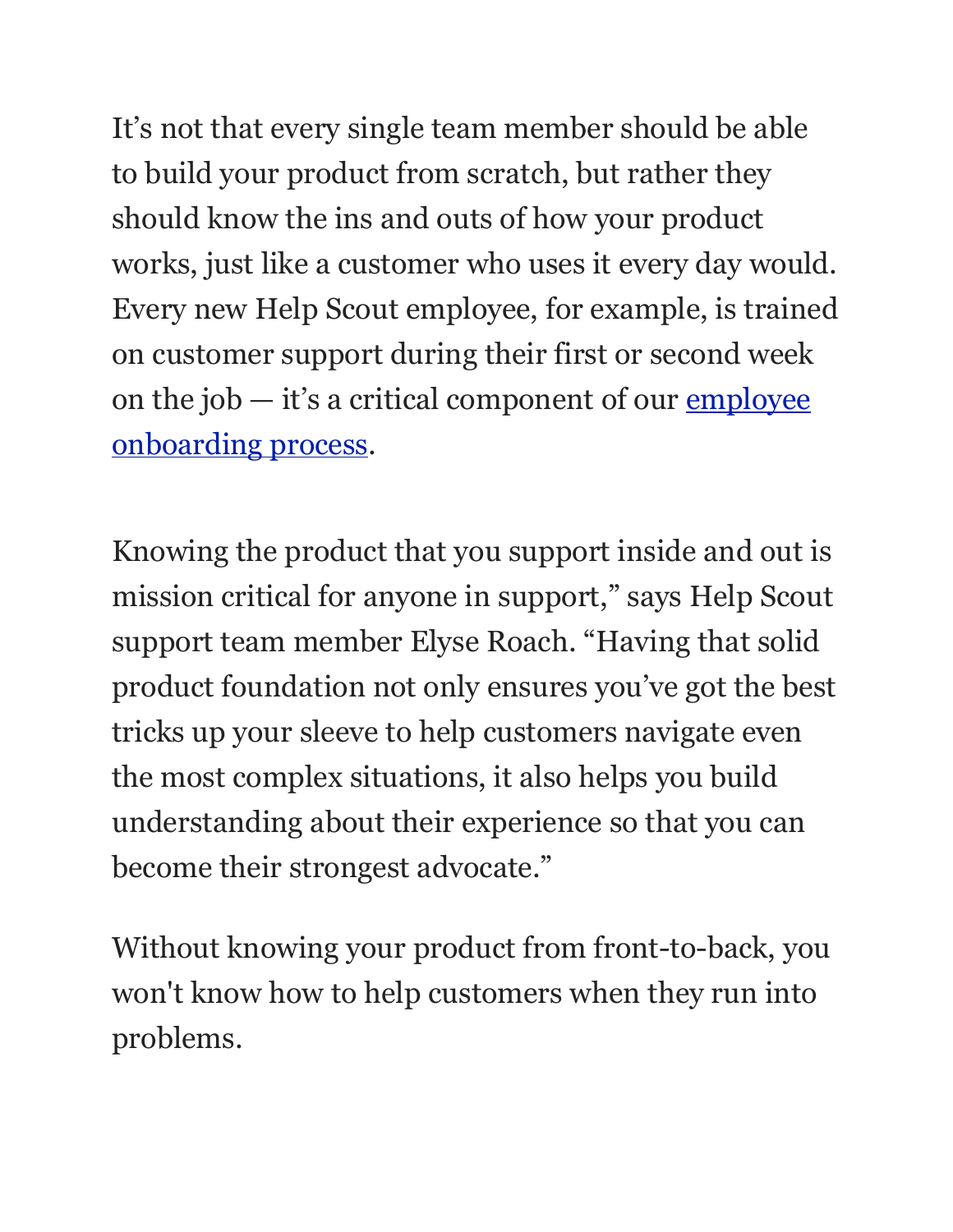It's not that every single team member should be able to build your product from scratch, but rather they should know the ins and outs of how your product works, just like a customer who uses it every day would. Every new Help Scout employee, for example, is trained on customer support during their first or second week on the job  $-$  it's a critical component of our employee [onboarding process.](https://www.helpscout.net/blog/employee-onboarding/)

Knowing the product that you support inside and out is mission critical for anyone in support," says Help Scout support team member Elyse Roach. "Having that solid product foundation not only ensures you've got the best tricks up your sleeve to help customers navigate even the most complex situations, it also helps you build understanding about their experience so that you can become their strongest advocate."

Without knowing your product from front-to-back, you won't know how to help customers when they run into problems.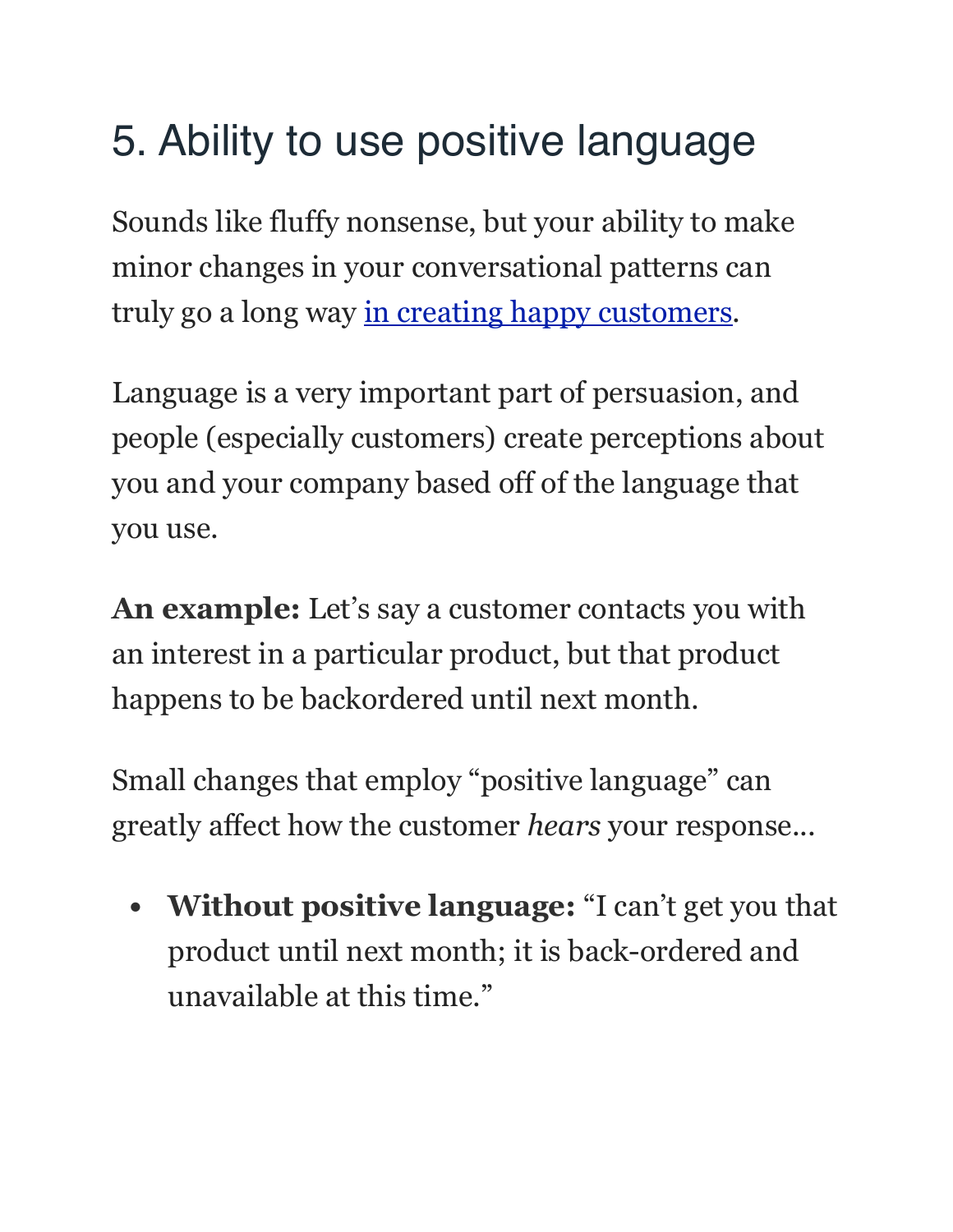## 5. Ability to use positive language

Sounds like fluffy nonsense, but your ability to make minor changes in your conversational patterns can truly go a long way [in creating happy customers.](https://www.helpscout.net/25-ways-to-thank-your-customers/)

Language is a very important part of persuasion, and people (especially customers) create perceptions about you and your company based off of the language that you use.

**An example:** Let's say a customer contacts you with an interest in a particular product, but that product happens to be backordered until next month.

Small changes that employ "positive language" can greatly affect how the customer *hears* your response...

**• Without positive language:** "I can't get you that product until next month; it is back-ordered and unavailable at this time."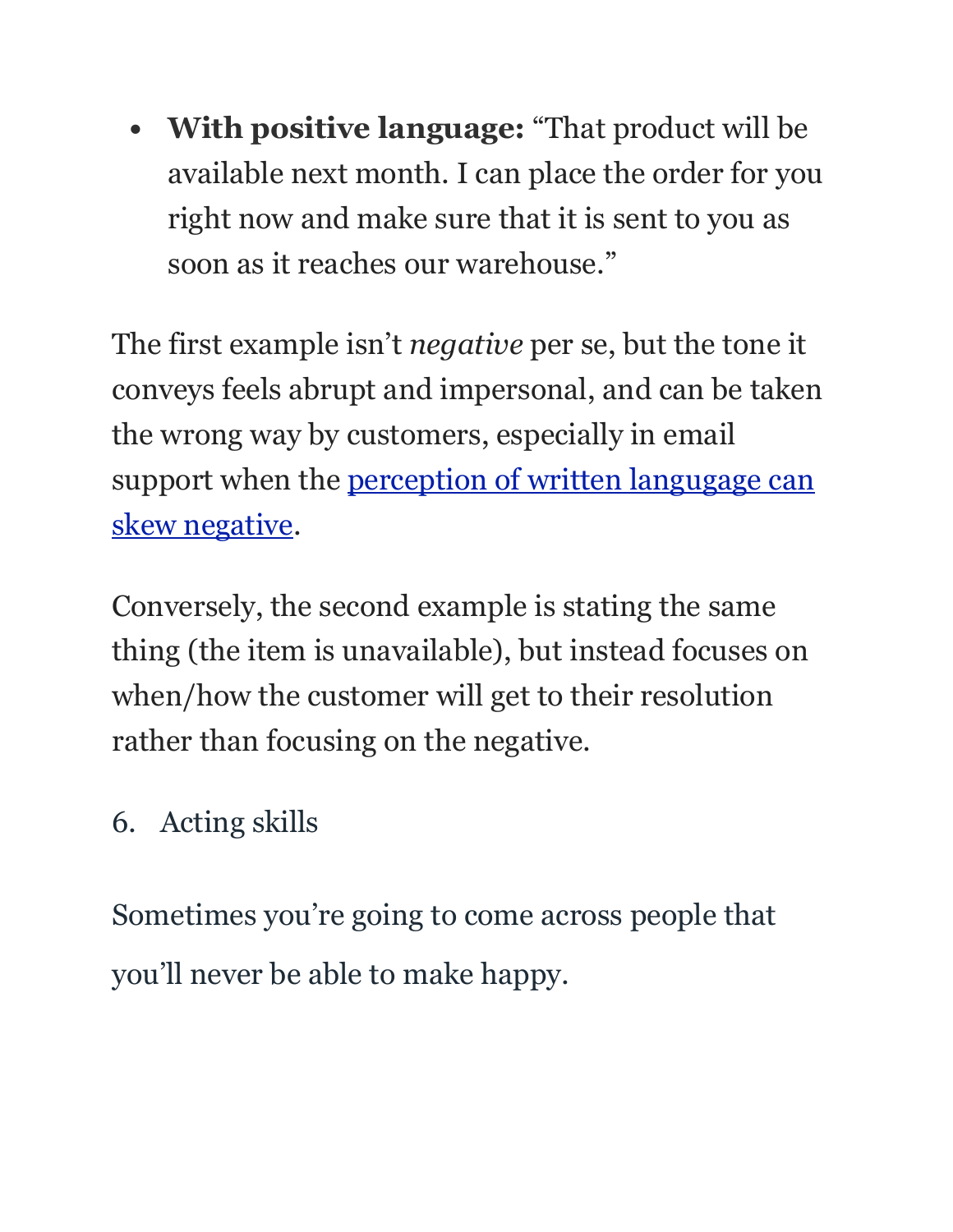**• With positive language:** "That product will be available next month. I can place the order for you right now and make sure that it is sent to you as soon as it reaches our warehouse."

The first example isn't *negative* per se, but the tone it conveys feels abrupt and impersonal, and can be taken the wrong way by customers, especially in email support when the perception of written langugage can [skew negative.](http://www.nytimes.com/2007/10/07/jobs/07pre.html)

Conversely, the second example is stating the same thing (the item is unavailable), but instead focuses on when/how the customer will get to their resolution rather than focusing on the negative.

#### 6. Acting skills

Sometimes you're going to come across people that you'll never be able to make happy.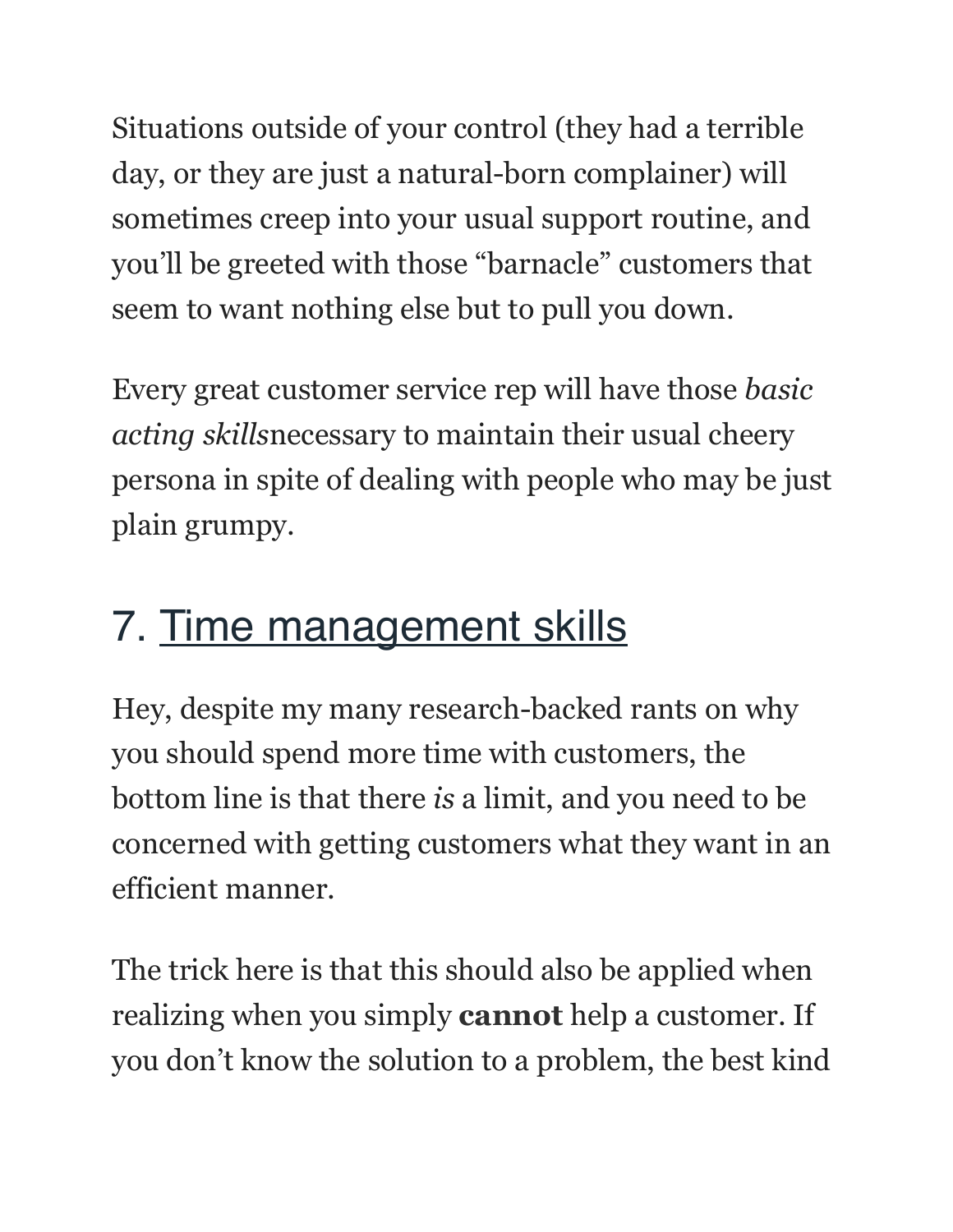Situations outside of your control (they had a terrible day, or they are just a natural-born complainer) will sometimes creep into your usual support routine, and you'll be greeted with those "barnacle" customers that seem to want nothing else but to pull you down.

Every great customer service rep will have those *basic acting skills*necessary to maintain their usual cheery persona in spite of dealing with people who may be just plain grumpy.

#### 7. Time management skills

Hey, despite my many research-backed rants on why you should spend more time with customers, the bottom line is that there *is* a limit, and you need to be concerned with getting customers what they want in an efficient manner.

The trick here is that this should also be applied when realizing when you simply **cannot** help a customer. If you don't know the solution to a problem, the best kind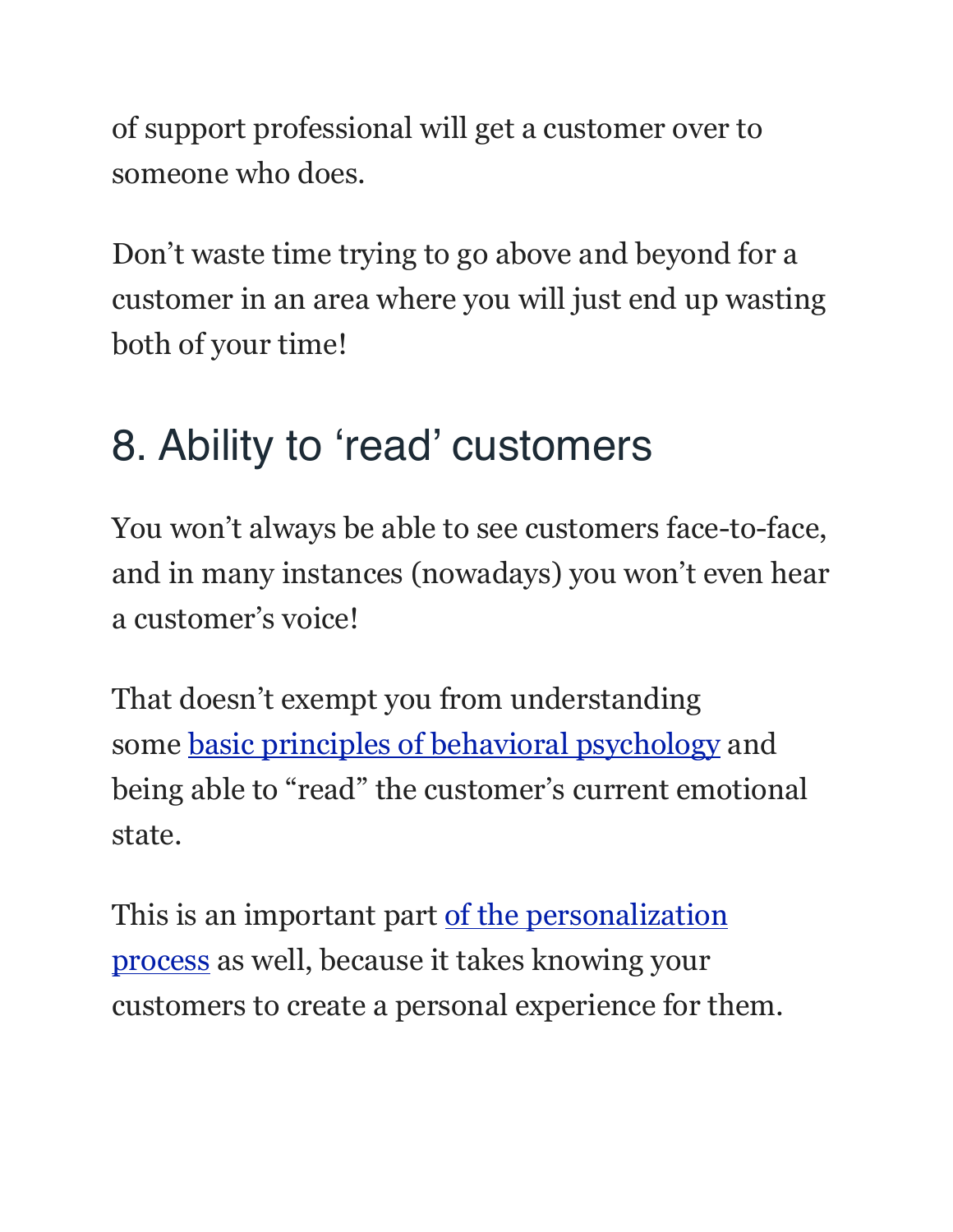of support professional will get a customer over to someone who does.

Don't waste time trying to go above and beyond for a customer in an area where you will just end up wasting both of your time!

## 8. Ability to 'read' customers

You won't always be able to see customers face-to-face, and in many instances (nowadays) you won't even hear a customer's voice!

That doesn't exempt you from understanding some [basic principles of behavioral psychology](https://www.helpscout.net/consumer-behavior/) and being able to "read" the customer's current emotional state.

This is an important part of the personalization [process](https://www.helpscout.net/blog/the-psychology-of-personalization-how-waiters-increased-tips-by-23-percent-without-changing-service/) as well, because it takes knowing your customers to create a personal experience for them.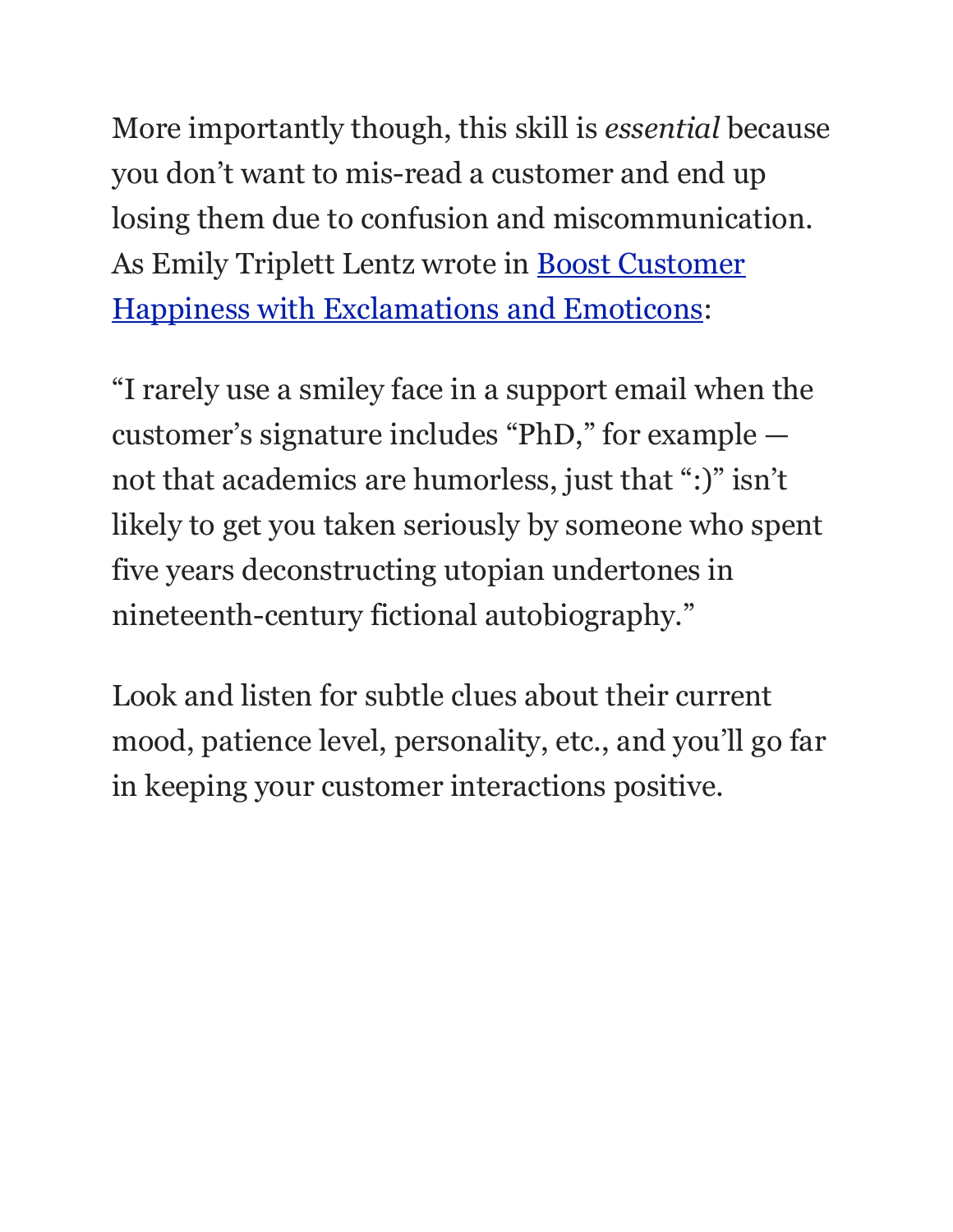More importantly though, this skill is *essential* because you don't want to mis-read a customer and end up losing them due to confusion and miscommunication. As Emily Triplett Lentz wrote in [Boost Customer](https://www.helpscout.net/blog/exclamations-and-emoticons/)  [Happiness with Exclamations and Emoticons:](https://www.helpscout.net/blog/exclamations-and-emoticons/)

"I rarely use a smiley face in a support email when the customer's signature includes "PhD," for example not that academics are humorless, just that ":)" isn't likely to get you taken seriously by someone who spent five years deconstructing utopian undertones in nineteenth-century fictional autobiography."

Look and listen for subtle clues about their current mood, patience level, personality, etc., and you'll go far in keeping your customer interactions positive.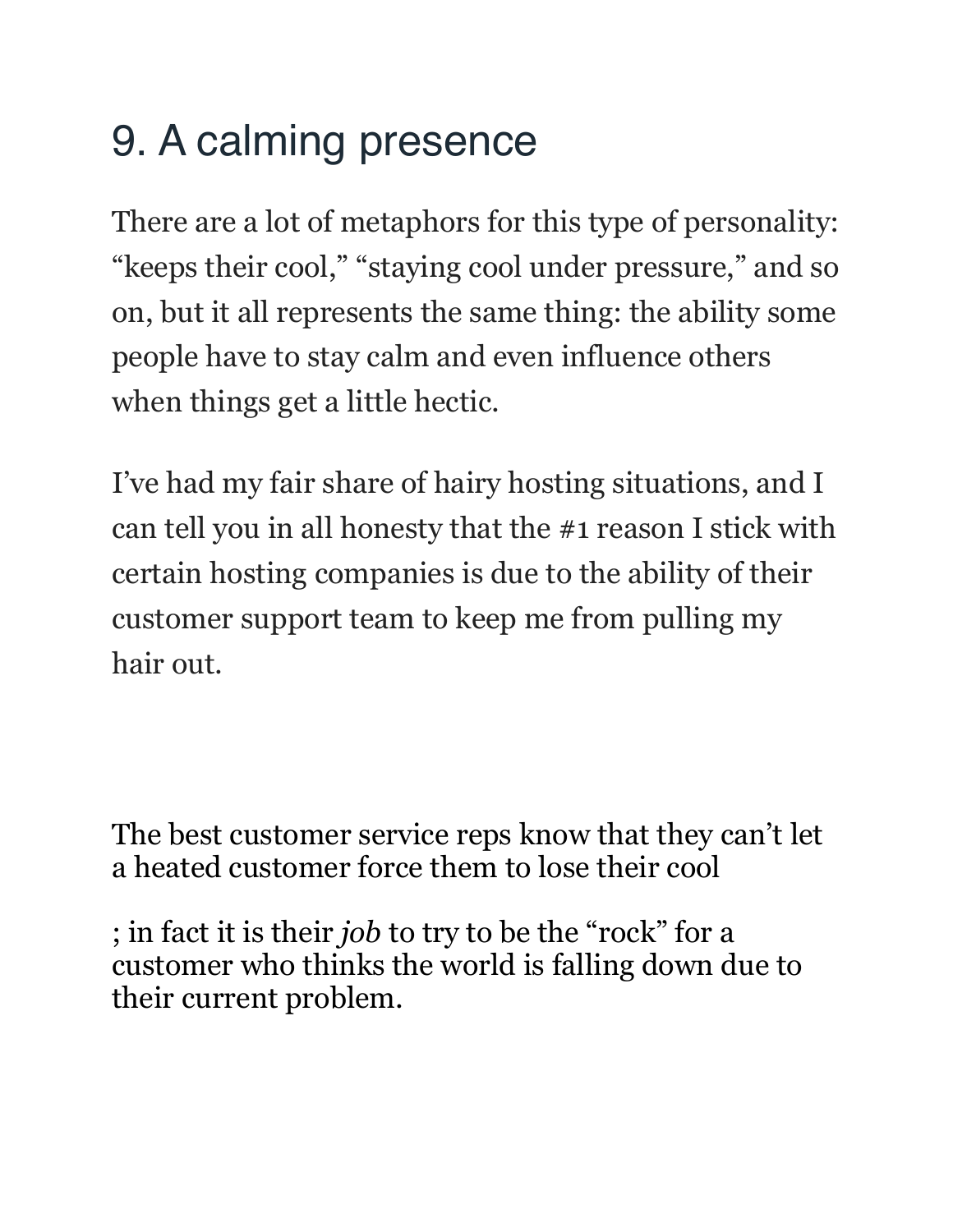# 9. A calming presence

There are a lot of metaphors for this type of personality: "keeps their cool," "staying cool under pressure," and so on, but it all represents the same thing: the ability some people have to stay calm and even influence others when things get a little hectic.

I've had my fair share of hairy hosting situations, and I can tell you in all honesty that the #1 reason I stick with certain hosting companies is due to the ability of their customer support team to keep me from pulling my hair out.

The best customer service reps know that they can't let a heated customer force them to lose their cool

; in fact it is their *job* to try to be the "rock" for a customer who thinks the world is falling down due to their current problem.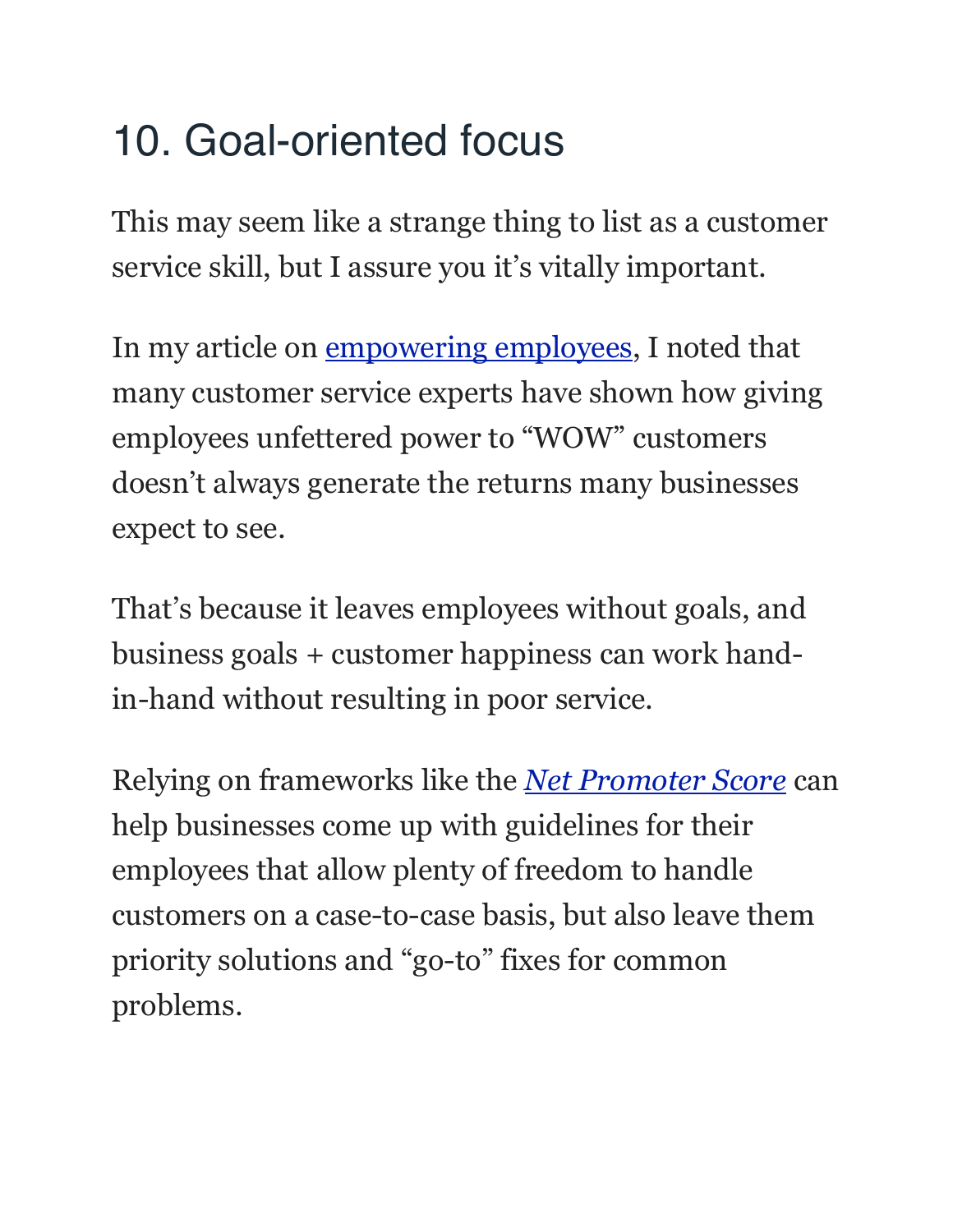## 10. Goal-oriented focus

This may seem like a strange thing to list as a customer service skill, but I assure you it's vitally important.

In my article on [empowering employees,](https://www.helpscout.net/blog/empowering-employess-without-losing-your-shirt/) I noted that many customer service experts have shown how giving employees unfettered power to "WOW" customers doesn't always generate the returns many businesses expect to see.

That's because it leaves employees without goals, and business goals + customer happiness can work handin-hand without resulting in poor service.

Relying on frameworks like the *[Net Promoter Score](https://www.helpscout.net/blog/customer-satisfaction/)* can help businesses come up with guidelines for their employees that allow plenty of freedom to handle customers on a case-to-case basis, but also leave them priority solutions and "go-to" fixes for common problems.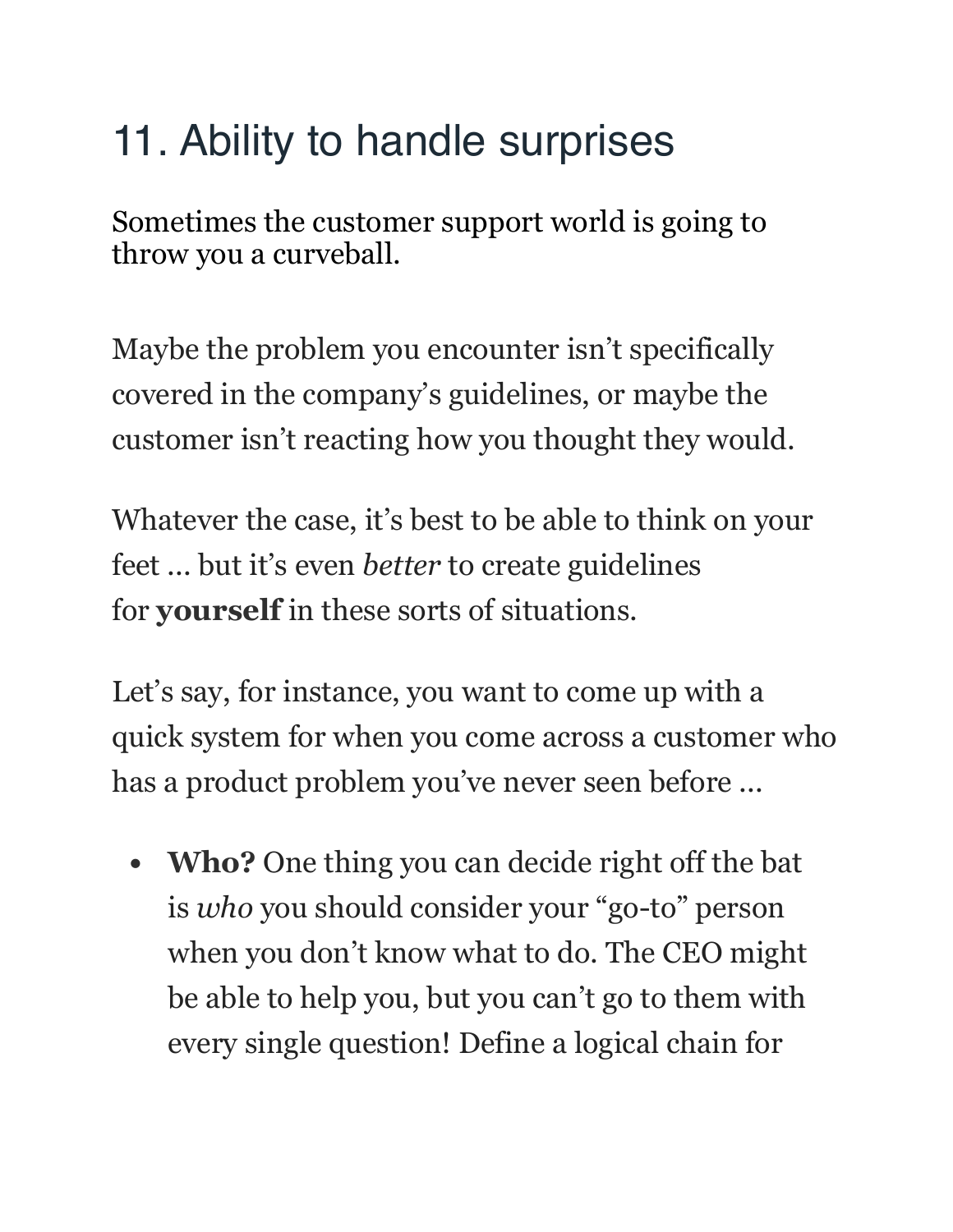## 11. Ability to handle surprises

Sometimes the customer support world is going to throw you a curveball.

Maybe the problem you encounter isn't specifically covered in the company's guidelines, or maybe the customer isn't reacting how you thought they would.

Whatever the case, it's best to be able to think on your feet ... but it's even *better* to create guidelines for **yourself** in these sorts of situations.

Let's say, for instance, you want to come up with a quick system for when you come across a customer who has a product problem you've never seen before ...

**• Who?** One thing you can decide right off the bat is *who* you should consider your "go-to" person when you don't know what to do. The CEO might be able to help you, but you can't go to them with every single question! Define a logical chain for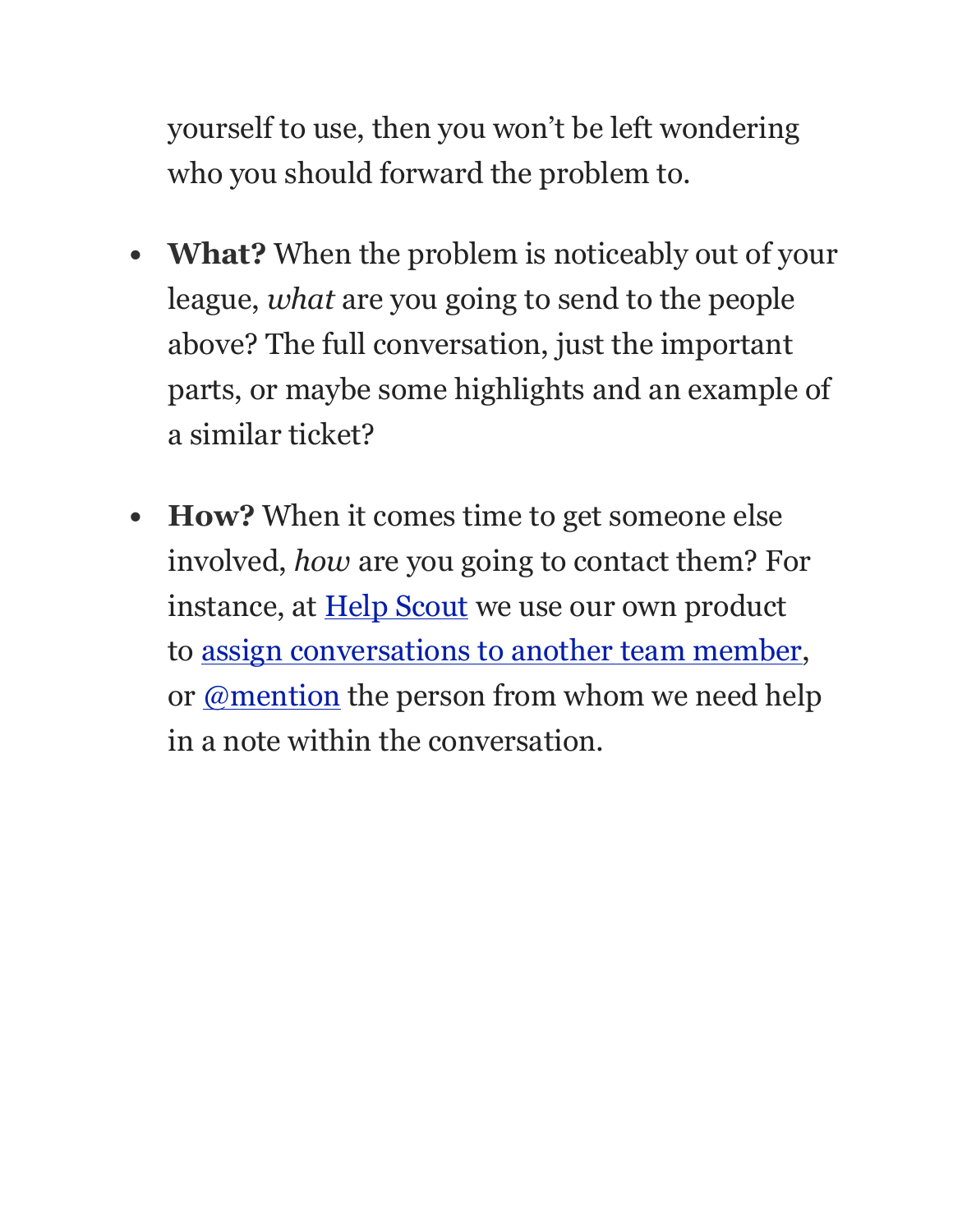yourself to use, then you won't be left wondering who you should forward the problem to.

- **• What?** When the problem is noticeably out of your league, *what* are you going to send to the people above? The full conversation, just the important parts, or maybe some highlights and an example of a similar ticket?
- **• How?** When it comes time to get someone else involved, *how* are you going to contact them? For instance, at **[Help Scout](https://www.helpscout.net/)** we use our own product to [assign conversations to another team member,](http://docs.helpscout.net/article/842-assigning-conversations) or <u>[@mention](https://www.helpscout.net/blog/mentions/)</u> the person from whom we need help in a note within the conversation.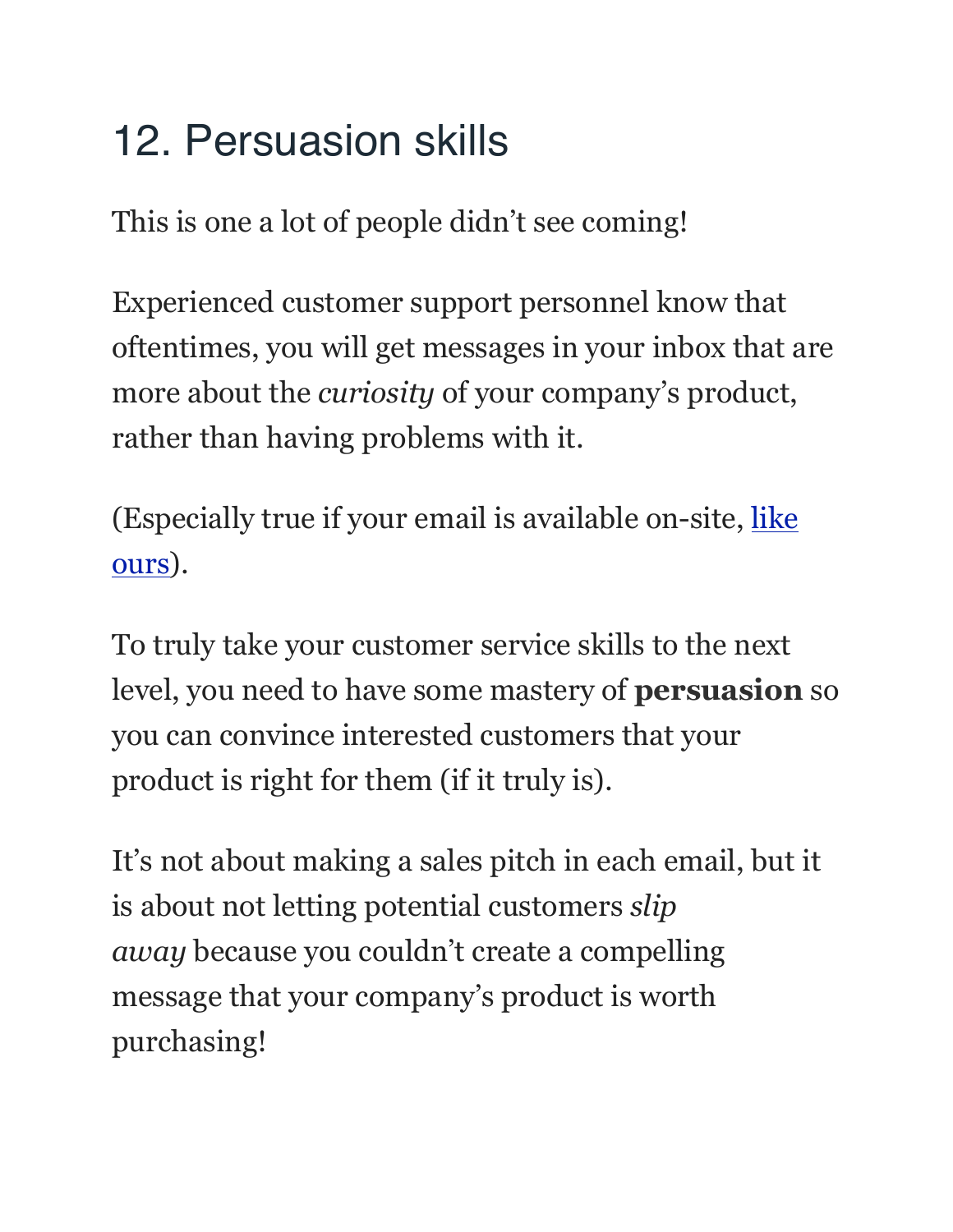# 12. Persuasion skills

This is one a lot of people didn't see coming!

Experienced customer support personnel know that oftentimes, you will get messages in your inbox that are more about the *curiosity* of your company's product, rather than having problems with it.

(Especially true if your email is available on-site, [like](https://www.helpscout.net/pricing/)  [ours](https://www.helpscout.net/pricing/)).

To truly take your customer service skills to the next level, you need to have some mastery of **persuasion** so you can convince interested customers that your product is right for them (if it truly is).

It's not about making a sales pitch in each email, but it is about not letting potential customers *slip away* because you couldn't create a compelling message that your company's product is worth purchasing!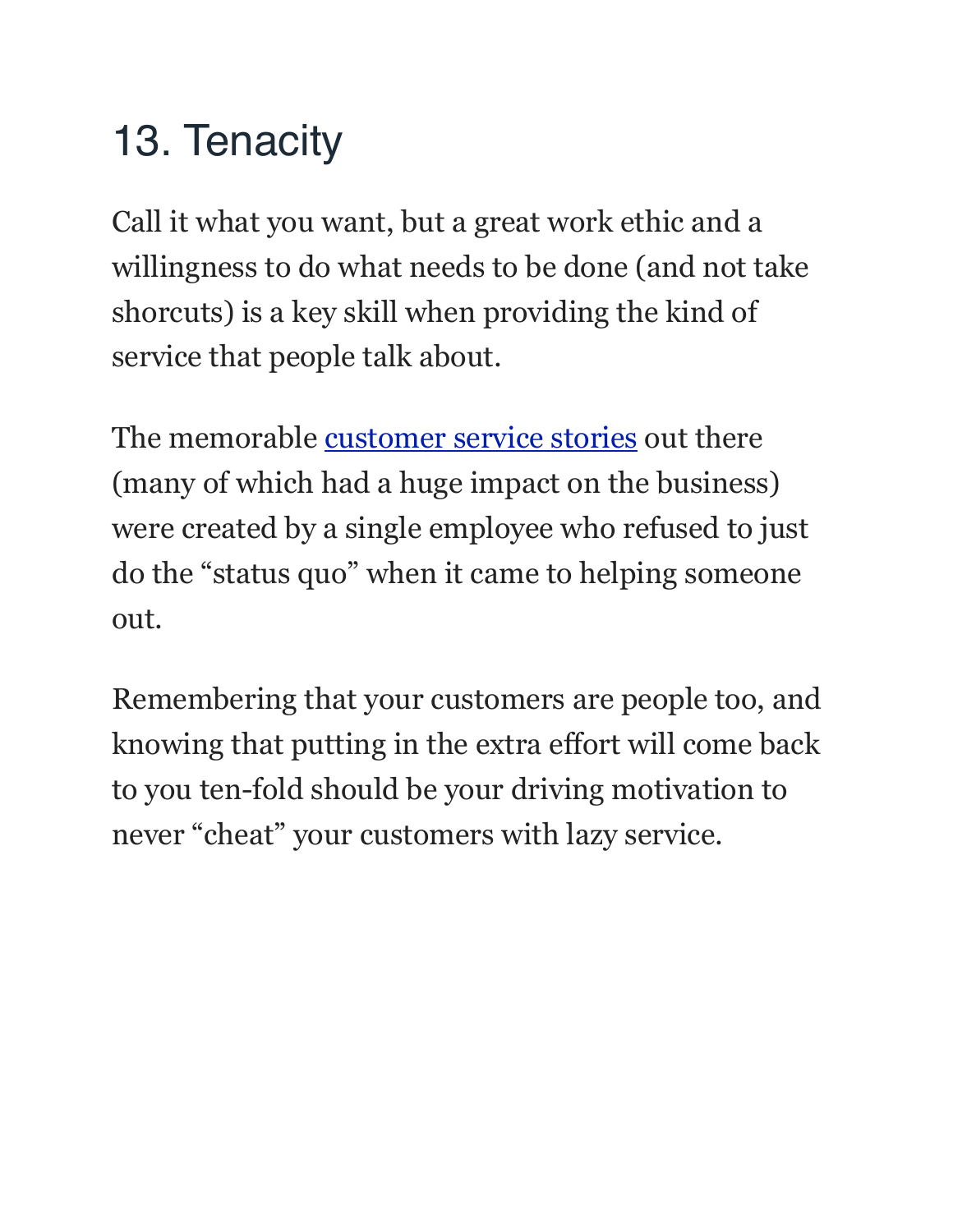# 13. Tenacity

Call it what you want, but a great work ethic and a willingness to do what needs to be done (and not take shorcuts) is a key skill when providing the kind of service that people talk about.

The memorable [customer service stories](https://www.helpscout.net/10-customer-service-stories/) out there (many of which had a huge impact on the business) were created by a single employee who refused to just do the "status quo" when it came to helping someone out.

Remembering that your customers are people too, and knowing that putting in the extra effort will come back to you ten-fold should be your driving motivation to never "cheat" your customers with lazy service.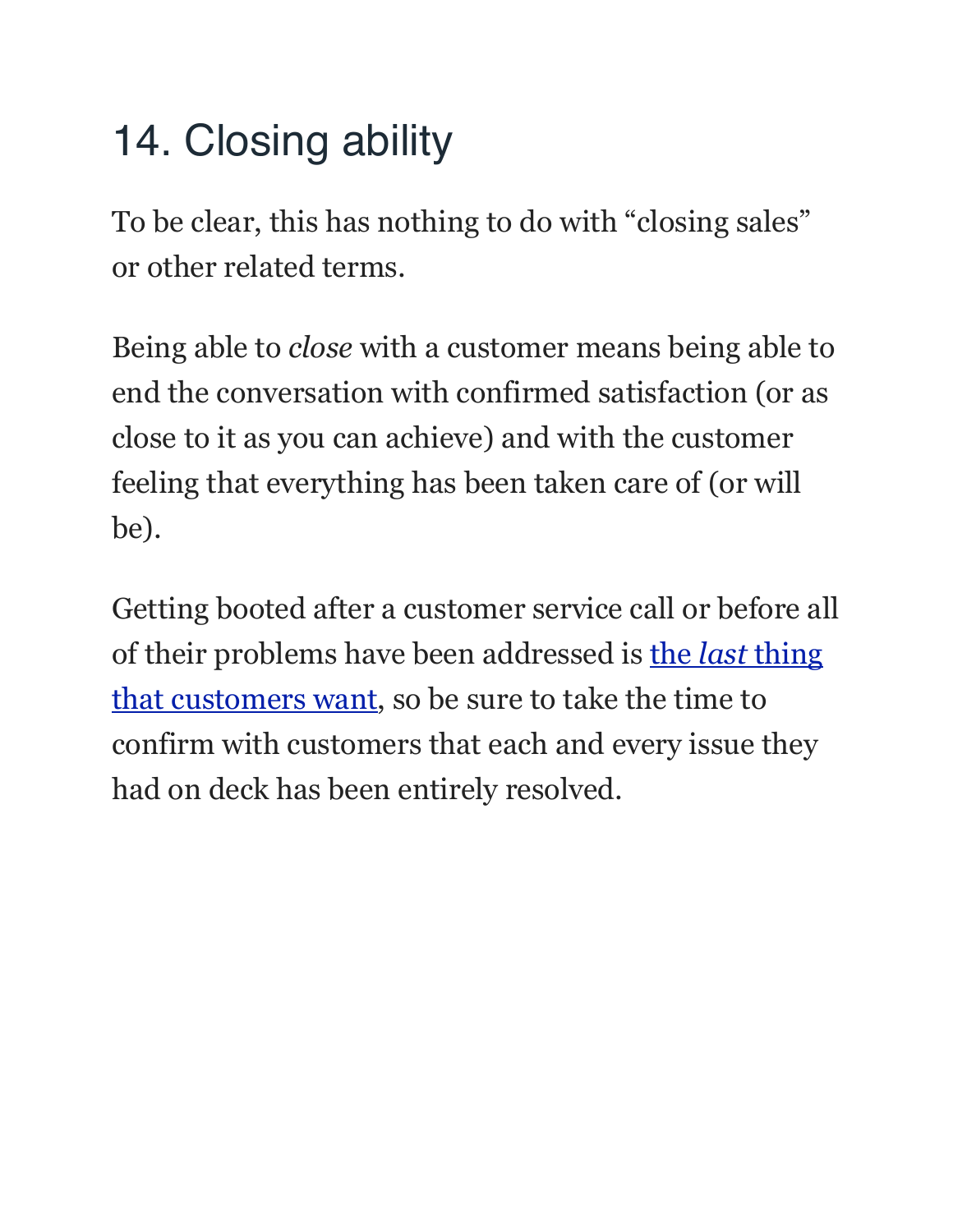## 14. Closing ability

To be clear, this has nothing to do with "closing sales" or other related terms.

Being able to *close* with a customer means being able to end the conversation with confirmed satisfaction (or as close to it as you can achieve) and with the customer feeling that everything has been taken care of (or will be).

Getting booted after a customer service call or before all of their problems have been addressed is the *last* [thing](https://www.helpscout.net/infographics/10things/)  [that customers want,](https://www.helpscout.net/infographics/10things/) so be sure to take the time to confirm with customers that each and every issue they had on deck has been entirely resolved.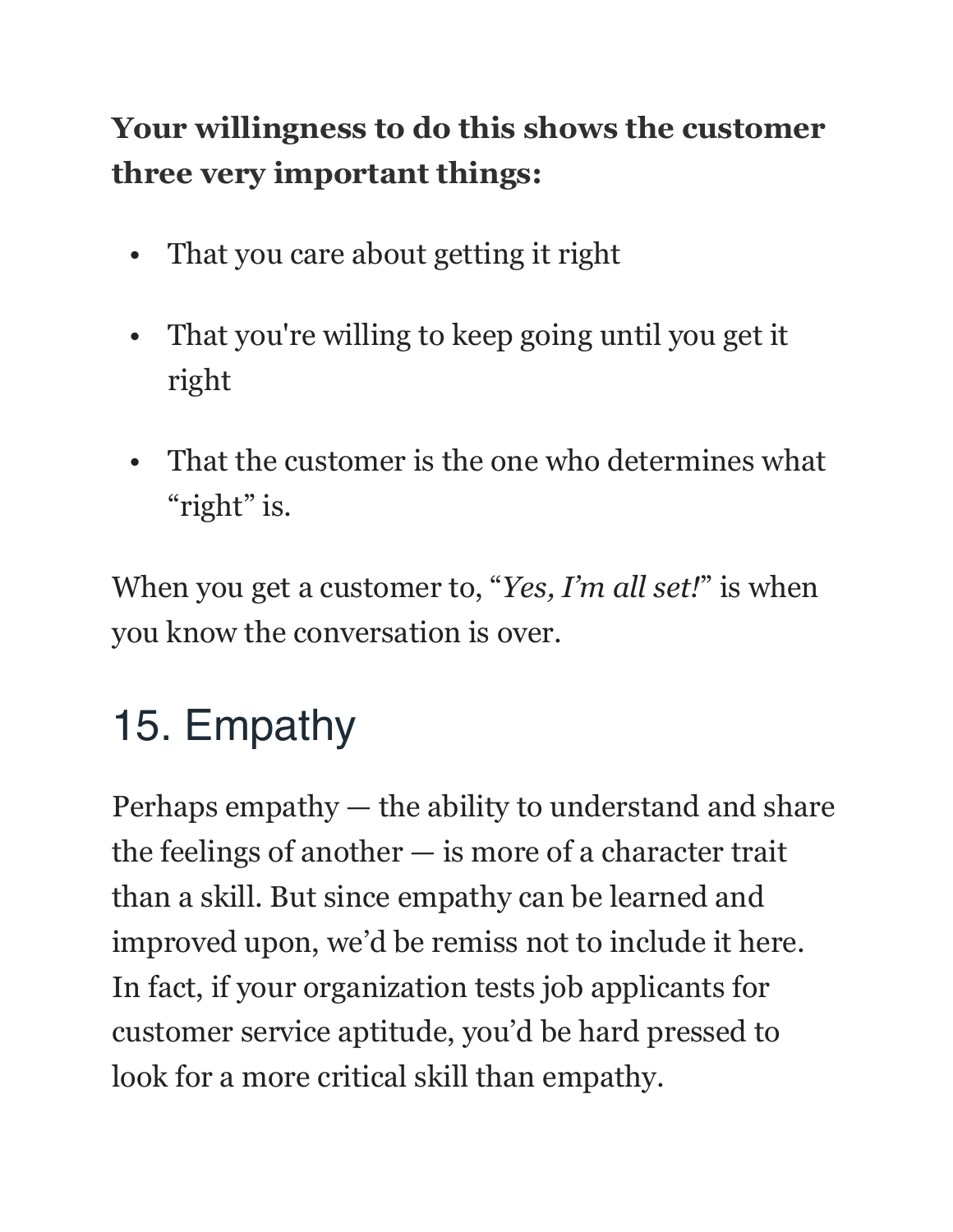#### **Your willingness to do this shows the customer three very important things:**

- That you care about getting it right
- That you're willing to keep going until you get it right
- That the customer is the one who determines what "right" is.

When you get a customer to, "*Yes, I'm all set!*" is when you know the conversation is over.

# 15. Empathy

Perhaps empathy — the ability to understand and share the feelings of another — is more of a character trait than a skill. But since empathy can be learned and improved upon, we'd be remiss not to include it here. In fact, if your organization tests job applicants for customer service aptitude, you'd be hard pressed to look for a more critical skill than empathy.